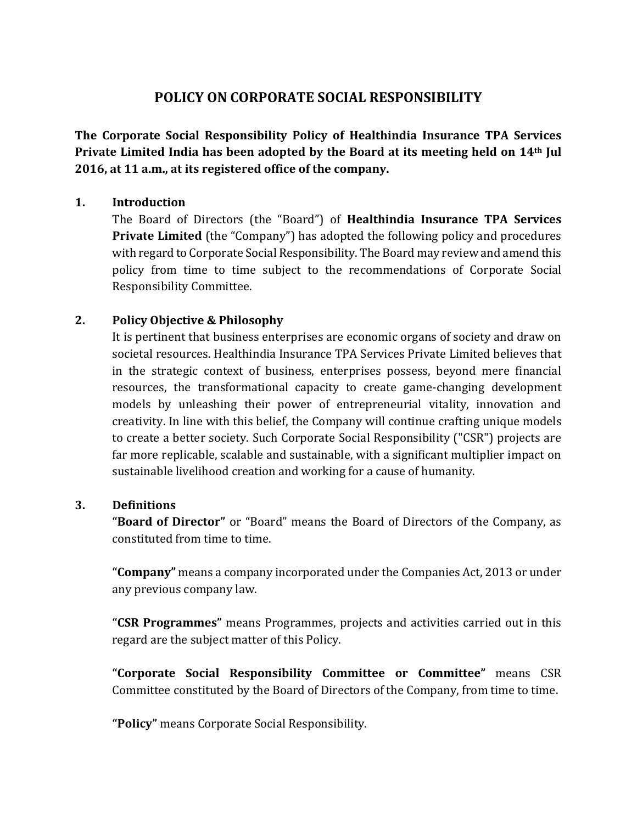# **POLICY ON CORPORATE SOCIAL RESPONSIBILITY**

**The Corporate Social Responsibility Policy of Healthindia Insurance TPA Services Private Limited India has been adopted by the Board at its meeting held on 14th Jul 2016, at 11 a.m., at its registered office of the company.**

# **1. Introduction**

The Board of Directors (the "Board") of **Healthindia Insurance TPA Services Private Limited** (the "Company") has adopted the following policy and procedures with regard to Corporate Social Responsibility. The Board may review and amend this policy from time to time subject to the recommendations of Corporate Social Responsibility Committee.

# **2. Policy Objective & Philosophy**

It is pertinent that business enterprises are economic organs of society and draw on societal resources. Healthindia Insurance TPA Services Private Limited believes that in the strategic context of business, enterprises possess, beyond mere financial resources, the transformational capacity to create game-changing development models by unleashing their power of entrepreneurial vitality, innovation and creativity. In line with this belief, the Company will continue crafting unique models to create a better society. Such Corporate Social Responsibility ("CSR") projects are far more replicable, scalable and sustainable, with a significant multiplier impact on sustainable livelihood creation and working for a cause of humanity.

#### **3. Definitions**

**"Board of Director"** or "Board" means the Board of Directors of the Company, as constituted from time to time.

**"Company"** means a company incorporated under the Companies Act, 2013 or under any previous company law.

**"CSR Programmes"** means Programmes, projects and activities carried out in this regard are the subject matter of this Policy.

**"Corporate Social Responsibility Committee or Committee"** means CSR Committee constituted by the Board of Directors of the Company, from time to time.

**"Policy"** means Corporate Social Responsibility.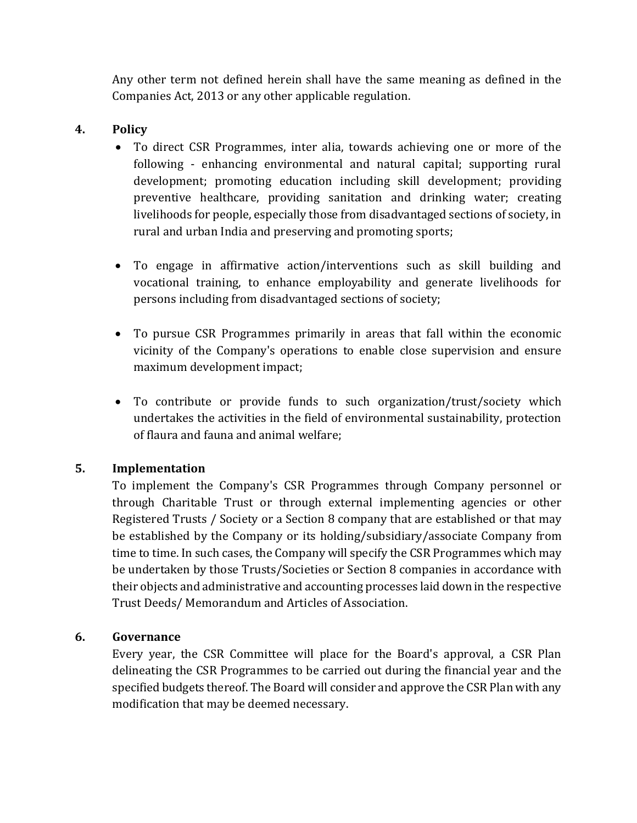Any other term not defined herein shall have the same meaning as defined in the Companies Act, 2013 or any other applicable regulation.

# **4. Policy**

- To direct CSR Programmes, inter alia, towards achieving one or more of the following - enhancing environmental and natural capital; supporting rural development; promoting education including skill development; providing preventive healthcare, providing sanitation and drinking water; creating livelihoods for people, especially those from disadvantaged sections of society, in rural and urban India and preserving and promoting sports;
- To engage in affirmative action/interventions such as skill building and vocational training, to enhance employability and generate livelihoods for persons including from disadvantaged sections of society;
- To pursue CSR Programmes primarily in areas that fall within the economic vicinity of the Company's operations to enable close supervision and ensure maximum development impact;
- To contribute or provide funds to such organization/trust/society which undertakes the activities in the field of environmental sustainability, protection of flaura and fauna and animal welfare;

#### **5. Implementation**

To implement the Company's CSR Programmes through Company personnel or through Charitable Trust or through external implementing agencies or other Registered Trusts / Society or a Section 8 company that are established or that may be established by the Company or its holding/subsidiary/associate Company from time to time. In such cases, the Company will specify the CSR Programmes which may be undertaken by those Trusts/Societies or Section 8 companies in accordance with their objects and administrative and accounting processes laid down in the respective Trust Deeds/ Memorandum and Articles of Association.

#### **6. Governance**

Every year, the CSR Committee will place for the Board's approval, a CSR Plan delineating the CSR Programmes to be carried out during the financial year and the specified budgets thereof. The Board will consider and approve the CSR Plan with any modification that may be deemed necessary.